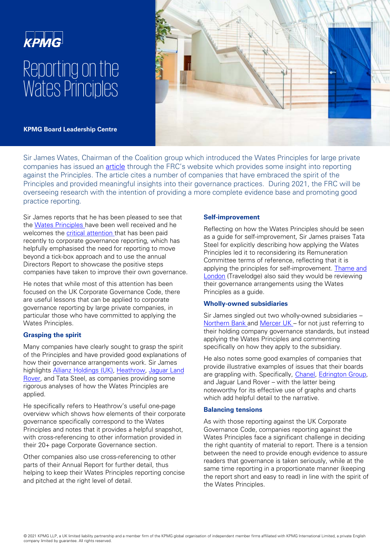# **KPMG** Reporting on the Wates Principles



**KPMG Board Leadership Centre** 

Sir James Wates, Chairman of the Coalition group which introduced the Wates Principles for large private companies has issued an [article](http://www.frc.org.uk/document-library/corporate-governance/2021/wates-principles) through the FRC's website which provides some insight into reporting against the Principles. The article cites a number of companies that have embraced the spirit of the Principles and provided meaningful insights into their governance practices. During 2021, the FRC will be overseeing research with the intention of providing a more complete evidence base and promoting good practice reporting.

Sir James reports that he has been pleased to see that the [Wates Principles h](https://www.frc.org.uk/getattachment/31dfb844-6d4b-4093-9bfe-19cee2c29cda/Wates-Corporate-Governance-Principles-for-LPC-Dec-2018.pdf)ave been well received and he welcomes the **critical attention** that has been paid recently to corporate governance reporting, which has helpfully emphasised the need for reporting to move beyond a tick-box approach and to use the annual Directors Report to showcase the positive steps companies have taken to improve their own governance.

He notes that while most of this attention has been focused on the UK Corporate Governance Code, there are useful lessons that can be applied to corporate governance reporting by large private companies, in particular those who have committed to applying the Wates Principles.

## **Grasping the spirit**

Many companies have clearly sought to grasp the spirit of the Principles and have provided good explanations of how their governance arrangements work. Sir James highlights **Allianz Holdings (UK), Heathrow, Jaguar Land** Rover, and Tata Steel, as companies providing some rigorous analyses of how the Wates Principles are applied.

He specifically refers to Heathrow's useful one-page overview which shows how elements of their corporate governance specifically correspond to the Wates Principles and notes that it provides a helpful snapshot, with cross-referencing to other information provided in their 20+ page Corporate Governance section.

Other companies also use cross-referencing to other parts of their Annual Report for further detail, thus helping to keep their Wates Principles reporting concise and pitched at the right level of detail.

## **Self-improvement**

Reflecting on how the Wates Principles should be seen as a guide for self-improvement, Sir James praises Tata Steel for explicitly describing how applying the Wates Principles led it to reconsidering its Remuneration Committee terms of reference, reflecting that it is [applying the principles for self-improvement. Thame and](https://www.travelodge.co.uk/sites/default/files/2019_Thame_&_London_Limited_FINAL.pdf)  London (Travelodge) also said they would be reviewing their governance arrangements using the Wates Principles as a guide.

## **Wholly-owned subsidiaries**

Sir James singled out two wholly-owned subsidiaries – [Northern Bank a](https://danskebank.co.uk/-/media/danske-bank/uk/personal/files/corporate-governance-statement.pdf)nd [Mercer UK –](https://www.uk.mercer.com/corporate-governance-statement.html) for not just referring to their holding company governance standards, but instead applying the Wates Principles and commenting specifically on how they apply to the subsidiary.

He also notes some good examples of companies that provide illustrative examples of issues that their boards are grappling with. Specifically, [Chanel,](http://dl.bourse.lu/dlp/101c8e43aa726c4a2aa57034052910952f) [Edrington Group](https://annualreport.edrington.com/annual-report-2020/img/uploads/2020/06/Governance-Report-2020.pdf), and Jaguar Land Rover – with the latter being noteworthy for its effective use of graphs and charts which add helpful detail to the narrative.

## **Balancing tensions**

As with those reporting against the UK Corporate Governance Code, companies reporting against the Wates Principles face a significant challenge in deciding the right quantity of material to report. There is a tension between the need to provide enough evidence to assure readers that governance is taken seriously, while at the same time reporting in a proportionate manner (keeping the report short and easy to read) in line with the spirit of the Wates Principles.